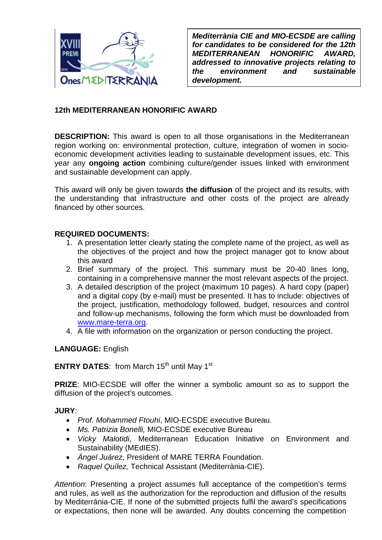

*Mediterrània CIE and MIO-ECSDE are calling for candidates to be considered for the 12th MEDITERRANEAN HONORIFIC AWARD, addressed to innovative projects relating to the environment and sustainable development.* 

## **12th MEDITERRANEAN HONORIFIC AWARD**

**DESCRIPTION:** This award is open to all those organisations in the Mediterranean region working on: environmental protection, culture, integration of women in socioeconomic development activities leading to sustainable development issues, etc. This year any **ongoing action** combining culture/gender issues linked with environment and sustainable development can apply.

This award will only be given towards **the diffusion** of the project and its results, with the understanding that infrastructure and other costs of the project are already financed by other sources.

## **REQUIRED DOCUMENTS:**

- 1. A presentation letter clearly stating the complete name of the project, as well as the objectives of the project and how the project manager got to know about this award
- 2. Brief summary of the project. This summary must be 20-40 lines long, containing in a comprehensive manner the most relevant aspects of the project.
- 3. A detailed description of the project (maximum 10 pages). A hard copy (paper) and a digital copy (by e-mail) must be presented. It has to include: objectives of the project, justification, methodology followed, budget, resources and control and follow-up mechanisms, following the form which must be downloaded from www.mare-terra.org.
- 4. A file with information on the organization or person conducting the project.

## **LANGUAGE:** English

**ENTRY DATES:** from March 15<sup>th</sup> until May 1<sup>st</sup>

**PRIZE**: MIO-ECSDE will offer the winner a symbolic amount so as to support the diffusion of the project's outcomes.

**JURY**:

- *Prof. Mohammed Ftouhi*, MIO-ECSDE executive Bureau.
- *Ms. Patrizia Bonelli,* MIO-ECSDE executive Bureau
- *Vicky Malotidi*, Mediterranean Education Initiative on Environment and Sustainability (MEdIES).
- *Ángel Juárez*, President of MARE TERRA Foundation.
- *Raquel Quílez,* Technical Assistant (Mediterrània-CIE).

*Attention*: Presenting a project assumes full acceptance of the competition's terms and rules, as well as the authorization for the reproduction and diffusion of the results by Mediterrània-CIE. If none of the submitted projects fulfil the award's specifications or expectations, then none will be awarded. Any doubts concerning the competition